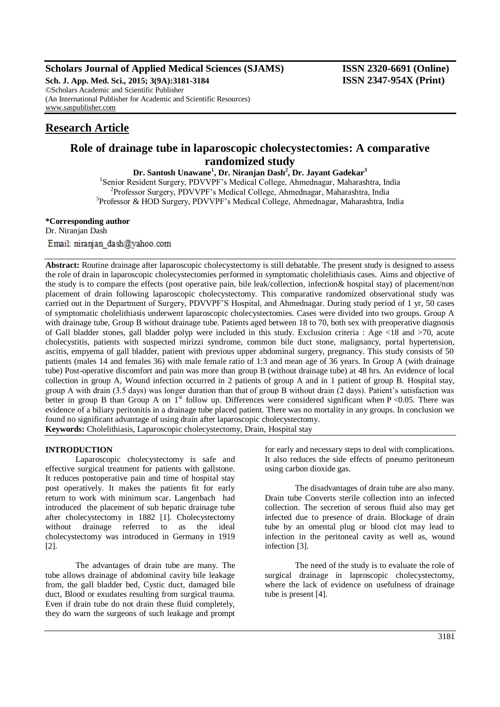# **Scholars Journal of Applied Medical Sciences (SJAMS) ISSN 2320-6691 (Online)**

**Sch. J. App. Med. Sci., 2015; 3(9A):3181-3184 ISSN 2347-954X (Print)** ©Scholars Academic and Scientific Publisher (An International Publisher for Academic and Scientific Resources) [www.saspublisher.com](http://www.saspublisher.com/)

# **Research Article**

# **Role of drainage tube in laparoscopic cholecystectomies: A comparative randomized study**

**Dr. Santosh Unawane<sup>1</sup> , Dr. Niranjan Dash<sup>2</sup> , Dr. Jayant Gadekar<sup>3</sup>** <sup>1</sup>Senior Resident Surgery, PDVVPF's Medical College, Ahmednagar, Maharashtra, India 2 Professor Surgery, PDVVPF's Medical College, Ahmednagar, Maharashtra, India 3 Professor & HOD Surgery, PDVVPF's Medical College, Ahmednagar, Maharashtra, India

**\*Corresponding author** Dr. Niranjan Dash Email: niranjan dash@yahoo.com

**Abstract:** Routine drainage after laparoscopic cholecystectomy is still debatable. The present study is designed to assess the role of drain in laparoscopic cholecystectomies performed in symptomatic cholelithiasis cases. Aims and objective of the study is to compare the effects (post operative pain, bile leak/collection, infection& hospital stay) of placement/non placement of drain following laparoscopic cholecystectomy. This comparative randomized observational study was carried out in the Department of Surgery, PDVVPF'S Hospital, and Ahmednagar. During study period of 1 yr, 50 cases of symptomatic cholelithiasis underwent laparoscopic cholecystectomies. Cases were divided into two groups. Group A with drainage tube, Group B without drainage tube. Patients aged between 18 to 70, both sex with preoperative diagnosis of Gall bladder stones, gall bladder polyp were included in this study. Exclusion criteria : Age <18 and >70, acute cholecystitis, patients with suspected mirizzi syndrome, common bile duct stone, malignancy, portal hypertension, ascitis, empyema of gall bladder, patient with previous upper abdominal surgery, pregnancy. This study consists of 50 patients (males 14 and females 36) with male female ratio of 1:3 and mean age of 36 years. In Group A (with drainage tube) Post-operative discomfort and pain was more than group B (without drainage tube) at 48 hrs. An evidence of local collection in group A, Wound infection occurred in 2 patients of group A and in 1 patient of group B. Hospital stay, group A with drain (3.5 days) was longer duration than that of group B without drain (2 days). Patient's satisfaction was better in group B than Group A on  $I^{\text{st}}$  follow up. Differences were considered significant when P <0.05. There was evidence of a biliary peritonitis in a drainage tube placed patient. There was no mortality in any groups. In conclusion we found no significant advantage of using drain after laparoscopic cholecystectomy. **Keywords:** Cholelithiasis, Laparoscopic cholecystectomy, Drain, Hospital stay

# **INTRODUCTION**

Laparoscopic cholecystectomy is safe and effective surgical treatment for patients with gallstone. It reduces postoperative pain and time of hospital stay post operatively. It makes the patients fit for early return to work with minimum scar. Langenbach had introduced the placement of sub hepatic drainage tube after cholecystectomy in 1882 [1]. Cholecystectomy without drainage referred to as the ideal cholecystectomy was introduced in Germany in 1919 [2].

The advantages of drain tube are many. The tube allows drainage of abdominal cavity bile leakage from, the gall bladder bed, Cystic duct, damaged bile duct, Blood or exudates resulting from surgical trauma. Even if drain tube do not drain these fluid completely, they do warn the surgeons of such leakage and prompt

for early and necessary steps to deal with complications. It also reduces the side effects of pneumo peritoneum using carbon dioxide gas.

The disadvantages of drain tube are also many. Drain tube Converts sterile collection into an infected collection. The secretion of serous fluid also may get infected due to presence of drain. Blockage of drain tube by an omental plug or blood clot may lead to infection in the peritoneal cavity as well as, wound infection [3].

The need of the study is to evaluate the role of surgical drainage in laproscopic cholecystectomy, where the lack of evidence on usefulness of drainage tube is present [4].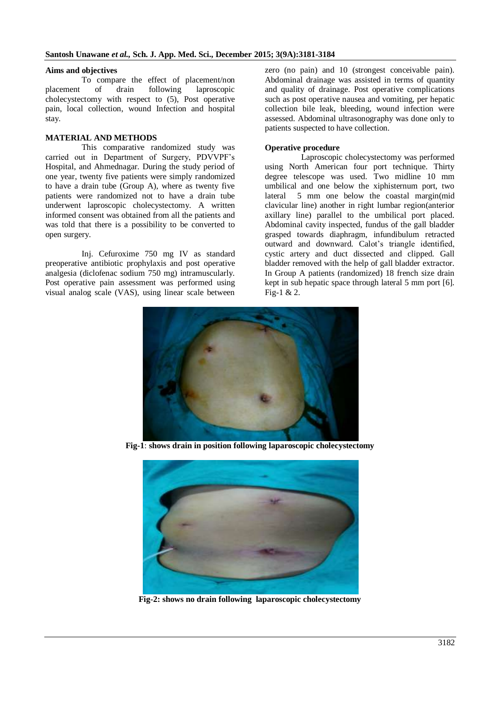### **Aims and objectives**

To compare the effect of placement/non placement of drain following laproscopic cholecystectomy with respect to (5), Post operative pain, local collection, wound Infection and hospital stay.

### **MATERIAL AND METHODS**

This comparative randomized study was carried out in Department of Surgery, PDVVPF's Hospital, and Ahmednagar. During the study period of one year, twenty five patients were simply randomized to have a drain tube (Group A), where as twenty five patients were randomized not to have a drain tube underwent laproscopic cholecystectomy. A written informed consent was obtained from all the patients and was told that there is a possibility to be converted to open surgery.

Inj. Cefuroxime 750 mg IV as standard preoperative antibiotic prophylaxis and post operative analgesia (diclofenac sodium 750 mg) intramuscularly. Post operative pain assessment was performed using visual analog scale (VAS), using linear scale between

zero (no pain) and 10 (strongest conceivable pain). Abdominal drainage was assisted in terms of quantity and quality of drainage. Post operative complications such as post operative nausea and vomiting, per hepatic collection bile leak, bleeding, wound infection were assessed. Abdominal ultrasonography was done only to patients suspected to have collection.

# **Operative procedure**

Laproscopic cholecystectomy was performed using North American four port technique. Thirty degree telescope was used. Two midline 10 mm umbilical and one below the xiphisternum port, two lateral 5 mm one below the coastal margin(mid clavicular line) another in right lumbar region(anterior axillary line) parallel to the umbilical port placed. Abdominal cavity inspected, fundus of the gall bladder grasped towards diaphragm, infundibulum retracted outward and downward. Calot's triangle identified, cystic artery and duct dissected and clipped. Gall bladder removed with the help of gall bladder extractor. In Group A patients (randomized) 18 french size drain kept in sub hepatic space through lateral 5 mm port [6]. Fig-1 & 2.



**Fig-1**: **shows drain in position following laparoscopic cholecystectomy**



**Fig-2: shows no drain following laparoscopic cholecystectomy**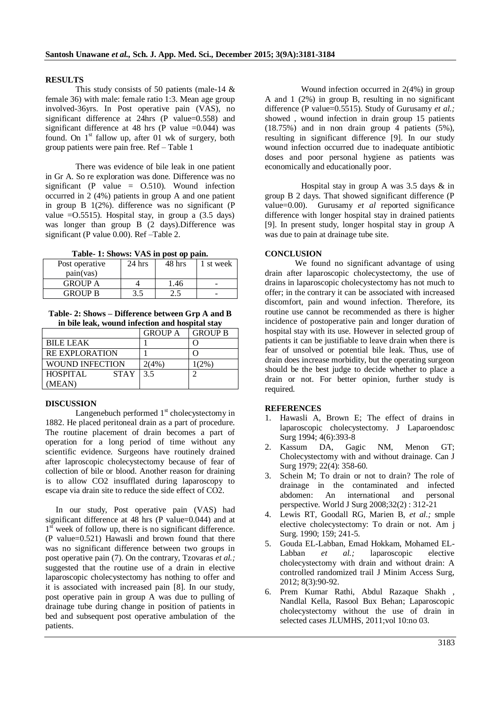#### **RESULTS**

This study consists of 50 patients (male-14 & female 36) with male: female ratio 1:3. Mean age group involved-36yrs. In Post operative pain (VAS), no significant difference at 24hrs (P value=0.558) and significant difference at 48 hrs (P value  $=0.044$ ) was found. On  $1<sup>st</sup>$  fallow up, after 01 wk of surgery, both group patients were pain free. Ref – Table 1

There was evidence of bile leak in one patient in Gr A. So re exploration was done. Difference was no significant (P value  $=$  0.510). Wound infection occurred in 2 (4%) patients in group A and one patient in group B 1(2%). difference was no significant (P value  $=$  0.5515). Hospital stay, in group a  $(3.5 \text{ days})$ was longer than group B (2 days).Difference was significant (P value 0.00). Ref –Table 2.

**Table- 1: Shows: VAS in post op pain.**

| Post operative | $24$ hrs | 48 hrs | 1 st week |
|----------------|----------|--------|-----------|
| pain(vas)      |          |        |           |
| <b>GROUP A</b> |          | 1.46   |           |
| <b>GROUP B</b> |          |        | -         |

**Table- 2: Shows – Difference between Grp A and B in bile leak, wound infection and hospital stay**

|                                | <b>GROUP A</b> | <b>GROUP B</b> |
|--------------------------------|----------------|----------------|
| <b>BILE LEAK</b>               |                |                |
| <b>RE EXPLORATION</b>          |                |                |
| WOUND INFECTION                | 2(4%)          | $1(2\%)$       |
| <b>STAY</b><br><b>HOSPITAL</b> | 3.5            |                |
| (MEAN)                         |                |                |

#### **DISCUSSION**

Langenebuch performed  $1<sup>st</sup>$  cholecystectomy in 1882. He placed peritoneal drain as a part of procedure. The routine placement of drain becomes a part of operation for a long period of time without any scientific evidence. Surgeons have routinely drained after laproscopic cholecystectomy because of fear of collection of bile or blood. Another reason for draining is to allow CO2 insufflated during laparoscopy to escape via drain site to reduce the side effect of CO2.

 In our study, Post operative pain (VAS) had significant difference at 48 hrs (P value=0.044) and at 1<sup>st</sup> week of follow up, there is no significant difference. (P value=0.521) Hawasli and brown found that there was no significant difference between two groups in post operative pain (7). On the contrary, Tzovaras *et al.;* suggested that the routine use of a drain in elective laparoscopic cholecystectomy has nothing to offer and it is associated with increased pain [8]. In our study, post operative pain in group A was due to pulling of drainage tube during change in position of patients in bed and subsequent post operative ambulation of the patients.

Wound infection occurred in 2(4%) in group A and 1 (2%) in group B, resulting in no significant difference (P value=0.5515). Study of Gurusamy *et al.;*  showed , wound infection in drain group 15 patients (18.75%) and in non drain group 4 patients (5%), resulting in significant difference [9]. In our study wound infection occurred due to inadequate antibiotic doses and poor personal hygiene as patients was economically and educationally poor.

Hospital stay in group A was 3.5 days & in group B 2 days. That showed significant difference (P value=0.00). Gurusamy *et al* reported significance difference with longer hospital stay in drained patients [9]. In present study, longer hospital stay in group A was due to pain at drainage tube site.

#### **CONCLUSION**

We found no significant advantage of using drain after laparoscopic cholecystectomy, the use of drains in laparoscopic cholecystectomy has not much to offer; in the contrary it can be associated with increased discomfort, pain and wound infection. Therefore, its routine use cannot be recommended as there is higher incidence of postoperative pain and longer duration of hospital stay with its use. However in selected group of patients it can be justifiable to leave drain when there is fear of unsolved or potential bile leak. Thus, use of drain does increase morbidity, but the operating surgeon should be the best judge to decide whether to place a drain or not. For better opinion, further study is required.

#### **REFERENCES**

- 1. Hawasli A, Brown E; The effect of drains in laparoscopic cholecystectomy. J Laparoendosc Surg 1994; 4(6):393-8
- 2. Kassum DA, Gagic NM, Menon GT; Cholecystectomy with and without drainage. Can J Surg 1979; 22(4): 358-60.
- 3. Schein M; To drain or not to drain? The role of drainage in the contaminated and infected abdomen: An international and personal perspective. World J Surg 2008;32(2) : 312-21
- 4. Lewis RT, Goodall RG, Marien B, *et al.;* smple elective cholecystectomy: To drain or not. Am j Surg. 1990; 159; 241-5.
- 5. Gouda EL-Labban, Emad Hokkam, Mohamed EL-Labban *et al.;* laparoscopic elective cholecystectomy with drain and without drain: A controlled randomized trail J Minim Access Surg, 2012; 8(3):90-92.
- 6. Prem Kumar Rathi, Abdul Razaque Shakh , Nandlal Kella, Rasool Bux Behan; Laparoscopic cholecystectomy without the use of drain in selected cases JLUMHS, 2011;vol 10:no 03.